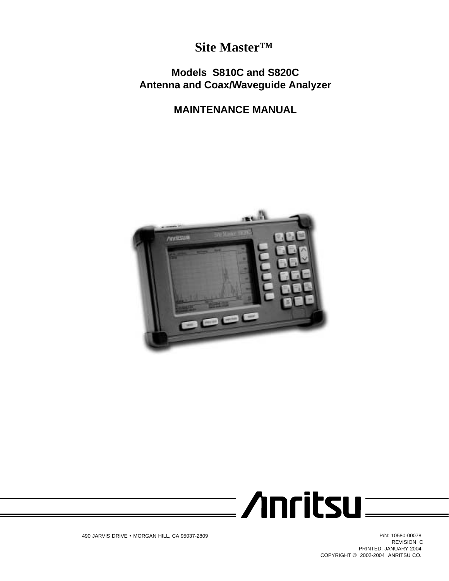# **Site Master™**

# **Models S810C and S820C Antenna and Coax/Waveguide Analyzer**

# **MAINTENANCE MANUAL**





REVISION C PRINTED: JANUARY 2004 COPYRIGHT @ 2002-2004 ANRITSU CO.

490 JARVIS DRIVE • MORGAN HILL, CA 95037-2809 P/N: 10580-00078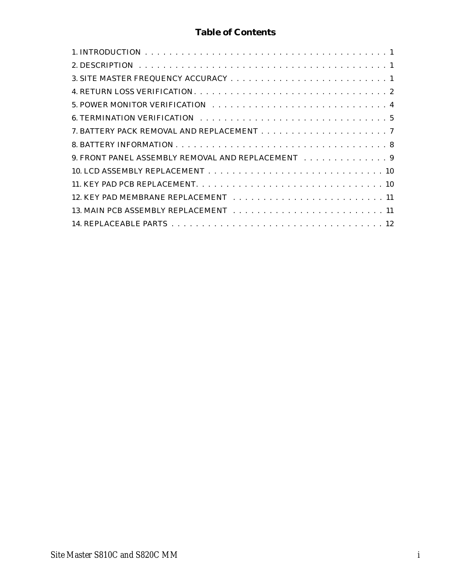# **Table of Contents**

| 9. FRONT PANEL ASSEMBLY REMOVAL AND REPLACEMENT 9 |
|---------------------------------------------------|
|                                                   |
|                                                   |
|                                                   |
|                                                   |
|                                                   |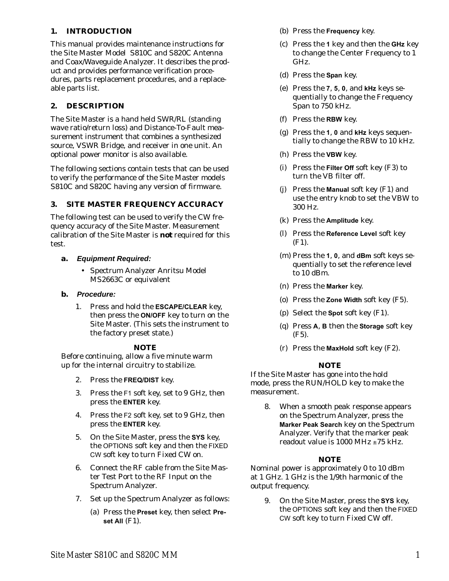### <span id="page-4-0"></span>**1. INTRODUCTION**

This manual provides maintenance instructions for the Site Master Model S810C and S820C Antenna and Coax/Waveguide Analyzer. It describes the product and provides performance verification procedures, parts replacement procedures, and a replaceable parts list.

### **2. DESCRIPTION**

The Site Master is a hand held SWR/RL (standing wave ratio/return loss) and Distance-To-Fault measurement instrument that combines a synthesized source, VSWR Bridge, and receiver in one unit. An optional power monitor is also available.

The following sections contain tests that can be used to verify the performance of the Site Master models S810C and S820C having any version of firmware.

### **3. SITE MASTER FREQUENCY ACCURACY**

The following test can be used to verify the CW frequency accuracy of the Site Master. Measurement calibration of the Site Master is *not* required for this test.

- **a. Equipment Required:**
	- Spectrum Analyzer Anritsu Model MS2663C or equivalent

#### **b. Procedure:**

1. Press and hold the **ESCAPE/CLEAR** key, then press the **ON/OFF** key to turn on the Site Master. (This sets the instrument to the factory preset state.)

### *NOTE*

Before continuing, allow a five minute warm up for the internal circuitry to stabilize.

- 2. Press the **FREQ/DIST** key.
- 3. Press the F1 soft key, set to 9 GHz, then press the **ENTER** key.
- 4. Press the F2 soft key, set to 9 GHz, then press the **ENTER** key.
- 5. On the Site Master, press the **SYS** key, the OPTIONS soft key and then the FIXED CW soft key to turn Fixed CW on.
- 6. Connect the RF cable from the Site Master Test Port to the RF Input on the Spectrum Analyzer.
- 7. Set up the Spectrum Analyzer as follows:
	- (a) Press the **Preset** key, then select **Preset All** (F1).
- (b) Press the **Frequency** key.
- (c) Press the **1** key and then the **GHz** key to change the Center Frequency to 1 GHz.
- (d) Press the **Span** key.
- (e) Press the **7**, **5**, **0**, and **kHz** keys sequentially to change the Frequency Span to 750 kHz.
- (f) Press the **RBW** key.
- (g) Press the **1**, **0** and **kHz** keys sequentially to change the RBW to 10 kHz.
- (h) Press the **VBW** key.
- (i) Press the **Filter Off** soft key (F3) to turn the VB filter off.
- (j) Press the **Manual** soft key (F1) and use the entry knob to set the VBW to 300 Hz.
- (k) Press the **Amplitude** key.
- (l) Press the **Reference Level** soft key (F1).
- (m) Press the **1**, **0**, and **dBm** soft keys sequentially to set the reference level to 10 dBm.
- (n) Press the **Marker** key.
- (o) Press the **Zone Width** soft key (F5).
- (p) Select the **Spot** soft key (F1).
- (q) Press **A**, **B** then the **Storage** soft key (F5).
- (r) Press the **MaxHold** soft key (F2).

### *NOTE*

If the Site Master has gone into the hold mode, press the RUN/HOLD key to make the measurement.

8. When a smooth peak response appears on the Spectrum Analyzer, press the **Marker Peak Search** key on the Spectrum Analyzer. Verify that the marker peak readout value is 1000 MHz  $\pm 75$  kHz.

### *NOTE*

Nominal power is approximately 0 to 10 dBm at 1 GHz. 1 GHz is the 1/9th harmonic of the output frequency.

9. On the Site Master, press the **SYS** key, the OPTIONS soft key and then the FIXED CW soft key to turn Fixed CW off.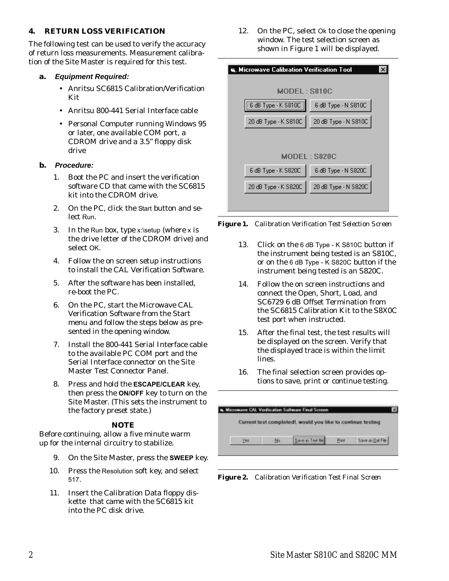### <span id="page-5-0"></span>**4. RETURN LOSS VERIFICATION**

The following test can be used to verify the accuracy of return loss measurements. Measurement calibration of the Site Master is required for this test.

#### **a. Equipment Required:**

- Anritsu SC6815 Calibration/Verification Kit
- Anritsu 800-441 Serial Interface cable
- Personal Computer running Windows 95 or later, one available COM port, a CDROM drive and a 3.5" floppy disk drive

#### **b. Procedure:**

- 1. Boot the PC and insert the verification software CD that came with the SC6815 kit into the CDROM drive.
- 2. On the PC, click the Start button and select Run.
- 3. In the Run box, type  $x$ :\setup (where  $x$  is the drive letter of the CDROM drive) and select OK.
- 4. Follow the on screen setup instructions to install the CAL Verification Software.
- 5. After the software has been installed, re-boot the PC.
- 6. On the PC, start the Microwave CAL Verification Software from the Start menu and follow the steps below as presented in the opening window.
- 7. Install the 800-441 Serial Interface cable to the available PC COM port and the Serial Interface connector on the Site Master Test Connector Panel.
- 8. Press and hold the **ESCAPE/CLEAR** key, then press the **ON/OFF** key to turn on the Site Master. (This sets the instrument to the factory preset state.)

#### *NOTE*

Before continuing, allow a five minute warm up for the internal circuitry to stabilize.

- 9. On the Site Master, press the **SWEEP** key.
- 10. Press the Resolution soft key, and select 517.
- 11. Insert the Calibration Data floppy diskette that came with the SC6815 kit into the PC disk drive.

12. On the PC, select Ok to close the opening window. The test selection screen as shown in Figure [1](#page-5-0) will be displayed.

| <b>ष, Microwave Calibration Verification Tool</b> |                                             |  |  |  |  |
|---------------------------------------------------|---------------------------------------------|--|--|--|--|
| MODEL: S810C                                      |                                             |  |  |  |  |
| [6 dB Type - K S810C ]   6 dB Type - N S810C      |                                             |  |  |  |  |
| 20 dB Type - K S810C                              | 20 dB Type - N S810C                        |  |  |  |  |
|                                                   |                                             |  |  |  |  |
|                                                   | MODEL: S820C                                |  |  |  |  |
|                                                   | 6 dB Type - K S820C   6 dB Type - N S820C   |  |  |  |  |
|                                                   | 20 dB Type - K S820C   20 dB Type - N S820C |  |  |  |  |
|                                                   |                                             |  |  |  |  |

*Figure 1. Calibration Verification Test Selection Screen*

- 13. Click on the 6 dB Type K S810C button if the instrument being tested is an S810C, or on the 6 dB Type - K S820C button if the instrument being tested is an S820C.
- 14. Follow the on screen instructions and connect the Open, Short, Load, and SC6729 6 dB Offset Termination from the SC6815 Calibration Kit to the S8X0C test port when instructed.
- 15. After the final test, the test results will be displayed on the screen. Verify that the displayed trace is within the limit lines.
- 16. The final selection screen provides options to save, print or continue testing.

|  | Current test completed), would you like to continue testing |                  |
|--|-------------------------------------------------------------|------------------|
|  |                                                             | Save ai Dat File |

*Figure 2. Calibration Verification Test Final Screen*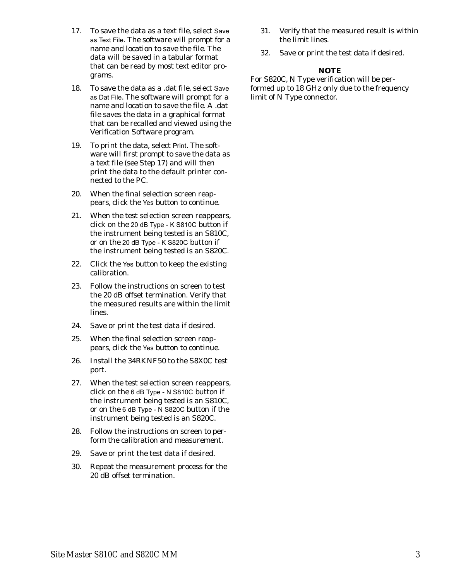- <span id="page-6-0"></span>17. To save the data as a text file, select Save as Text File. The software will prompt for a name and location to save the file. The data will be saved in a tabular format that can be read by most text editor programs.
- 18. To save the data as a .dat file, select Save as Dat File. The software will prompt for a name and location to save the file. A .dat file saves the data in a graphical format that can be recalled and viewed using the Verification Software program.
- 19. To print the data, select Print. The software will first prompt to save the data as a text file (see Step 17) and will then print the data to the default printer connected to the PC.
- 20. When the final selection screen reappears, click the Yes button to continue.
- 21. When the test selection screen reappears, click on the 20 dB Type - K S810C button if the instrument being tested is an S810C, or on the 20 dB Type - K S820C button if the instrument being tested is an S820C.
- 22. Click the Yes button to keep the existing calibration.
- 23. Follow the instructions on screen to test the 20 dB offset termination. Verify that the measured results are within the limit lines.
- 24. Save or print the test data if desired.
- 25. When the final selection screen reappears, click the Yes button to continue.
- 26. Install the 34RKNF50 to the S8X0C test port.
- 27. When the test selection screen reappears, click on the 6 dB Type - N S810C button if the instrument being tested is an S810C, or on the 6 dB Type - N S820C button if the instrument being tested is an S820C.
- 28. Follow the instructions on screen to perform the calibration and measurement.
- 29. Save or print the test data if desired.
- 30. Repeat the measurement process for the 20 dB offset termination.
- 31. Verify that the measured result is within the limit lines.
- 32. Save or print the test data if desired.

#### *NOTE*

For S820C, N Type verification will be performed up to 18 GHz only due to the frequency limit of N Type connector.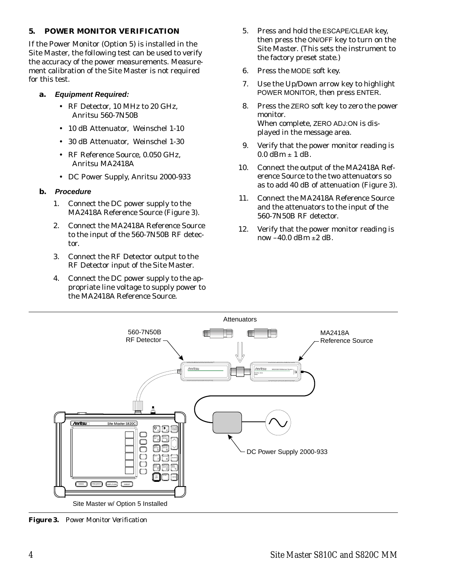### <span id="page-7-0"></span>**5. POWER MONITOR VERIFICATION**

If the Power Monitor (Option 5) is installed in the Site Master, the following test can be used to verify the accuracy of the power measurements. Measurement calibration of the Site Master is not required for this test.

#### **a. Equipment Required:**

- RF Detector, 10 MHz to 20 GHz, Anritsu 560-7N50B
- 10 dB Attenuator, Weinschel 1-10
- 30 dB Attenuator, Weinschel 1-30
- RF Reference Source, 0.050 GHz, Anritsu MA2418A
- DC Power Supply, Anritsu 2000-933

#### **b. Procedure**

- 1. Connect the DC power supply to the MA2418A Reference Source (Figure [3](#page-7-0)).
- 2. Connect the MA2418A Reference Source to the input of the 560-7N50B RF detector.
- 3. Connect the RF Detector output to the RF Detector input of the Site Master.
- 4. Connect the DC power supply to the appropriate line voltage to supply power to the MA2418A Reference Source.
- 5. Press and hold the ESCAPE/CLEAR key, then press the ON/OFF key to turn on the Site Master. (This sets the instrument to the factory preset state.)
- 6. Press the MODE soft key.
- 7. Use the Up/Down arrow key to highlight POWER MONITOR, then press ENTER.
- 8. Press the ZERO soft key to zero the power monitor. When complete, ZERO ADJ:ON is displayed in the message area.
- 9. Verify that the power monitor reading is  $0.0$  dBm  $\pm$  1 dB.
- 10. Connect the output of the MA2418A Reference Source to the two attenuators so as to add 40 dB of attenuation (Figure [3\)](#page-7-0).
- 11. Connect the MA2418A Reference Source and the attenuators to the input of the 560-7N50B RF detector.
- 12. Verify that the power monitor reading is now  $-40.0$  dBm  $\pm 2$  dB.



*Figure 3. Power Monitor Verification*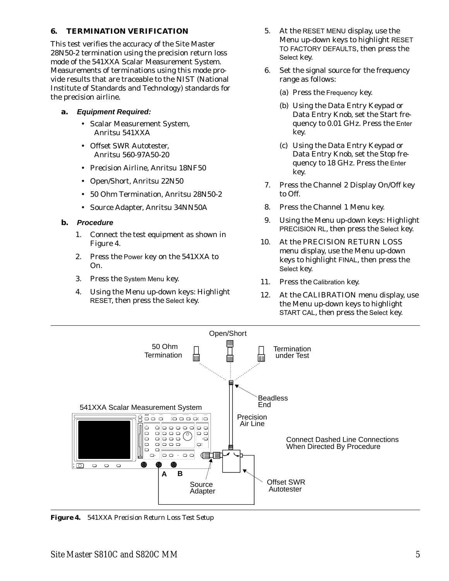### <span id="page-8-0"></span>**6. TERMINATION VERIFICATION**

This test verifies the accuracy of the Site Master 28N50-2 termination using the precision return loss mode of the 541XXA Scalar Measurement System. Measurements of terminations using this mode provide results that are traceable to the NIST (National Institute of Standards and Technology) standards for the precision airline.

- **a. Equipment Required:**
	- Scalar Measurement System, Anritsu 541XXA
	- Offset SWR Autotester, Anritsu 560-97A50-20
	- Precision Airline, Anritsu 18NF50
	- Open/Short, Anritsu 22N50
	- 50 Ohm Termination, Anritsu 28N50-2
	- Source Adapter, Anritsu 34NN50A

#### **b. Procedure**

- 1. Connect the test equipment as shown in Figure [4.](#page-8-0)
- 2. Press the Power key on the 541XXA to On.
- 3. Press the System Menu key.
- 4. Using the Menu up-down keys: Highlight RESET, then press the Select key.
- 5. At the RESET MENU display, use the Menu up-down keys to highlight RESET TO FACTORY DEFAULTS, then press the Select key.
- 6. Set the signal source for the frequency range as follows:
	- (a) Press the Frequency key.
	- (b) Using the Data Entry Keypad or Data Entry Knob, set the Start frequency to 0.01 GHz. Press the Enter key.
	- (c) Using the Data Entry Keypad or Data Entry Knob, set the Stop frequency to 18 GHz. Press the Enter key.
- 7. Press the Channel 2 Display On/Off key to Off.
- 8. Press the Channel 1 Menu key.
- 9. Using the Menu up-down keys: Highlight PRECISION RL, then press the Select key.
- 10. At the PRECISION RETURN LOSS menu display, use the Menu up-down keys to highlight FINAL, then press the Select key.
- 11. Press the Calibration key.
- 12. At the CALIBRATION menu display, use the Menu up-down keys to highlight START CAL, then press the Select key.



*Figure 4. 541XXA Precision Return Loss Test Setup*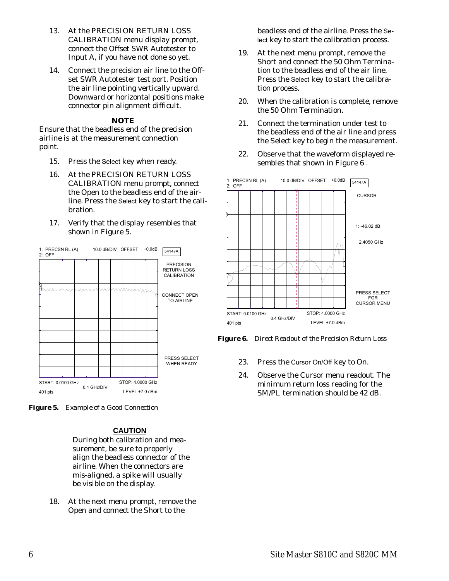- <span id="page-9-0"></span>13. At the PRECISION RETURN LOSS CALIBRATION menu display prompt, connect the Offset SWR Autotester to Input A, if you have not done so yet.
- 14. Connect the precision air line to the Offset SWR Autotester test port. Position the air line pointing vertically upward. Downward or horizontal positions make connector pin alignment difficult.

#### *NOTE*

Ensure that the beadless end of the precision airline is at the measurement connection point.

- 15. Press the Select key when ready.
- 16. At the PRECISION RETURN LOSS CALIBRATION menu prompt, connect the Open to the beadless end of the airline. Press the Select key to start the calibration.
- 17. Verify that the display resembles that shown in Figure [5.](#page-9-0)



*Figure 5. Example of a Good Connection*

### **CAUTION**

During both calibration and measurement, be sure to properly align the beadless connector of the airline. When the connectors are mis-aligned, a spike will usually be visible on the display.

18. At the next menu prompt, remove the Open and connect the Short to the

beadless end of the airline. Press the Select key to start the calibration process.

- 19. At the next menu prompt, remove the Short and connect the 50 Ohm Termination to the beadless end of the air line. Press the Select key to start the calibration process.
- 20. When the calibration is complete, remove the 50 Ohm Termination.
- 21. Connect the termination under test to the beadless end of the air line and press the Select key to begin the measurement.
- 22. Observe that the waveform displayed resembles that shown in Figure [6](#page-9-0) .



*Figure 6. Direct Readout of the Precision Return Loss*

- 23. Press the Cursor On/Off key to On.
- 24. Observe the Cursor menu readout. The minimum return loss reading for the SM/PL termination should be 42 dB.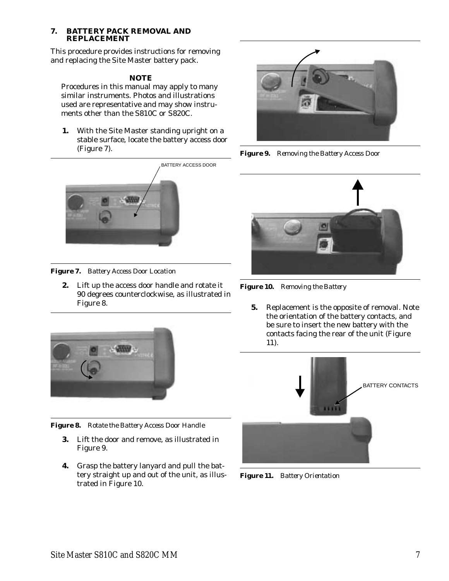#### <span id="page-10-0"></span>**7. BATTERY PACK REMOVAL AND REPLACEMENT**

This procedure provides instructions for removing and replacing the Site Master battery pack.

### *NOTE*

Procedures in this manual may apply to many similar instruments. Photos and illustrations used are representative and may show instruments other than the S810C or S820C.

**1.** With the Site Master standing upright on a stable surface, locate the battery access door (Figure [7](#page-10-0)).



*Figure 7. Battery Access Door Location*

**2.** Lift up the access door handle and rotate it 90 degrees counterclockwise, as illustrated in Figure [8](#page-10-0).



*Figure 8. Rotate the Battery Access Door Handle*

- **3.** Lift the door and remove, as illustrated in Figure [9](#page-10-0).
- **4.** Grasp the battery lanyard and pull the battery straight up and out of the unit, as illustrated in Figure [10.](#page-10-0)



*Figure 9. Removing the Battery Access Door*



*Figure 10. Removing the Battery*

**5.** Replacement is the opposite of removal. Note the orientation of the battery contacts, and be sure to insert the new battery with the contacts facing the rear of the unit (Figure [11\)](#page-10-0).



*Figure 11. Battery Orientation*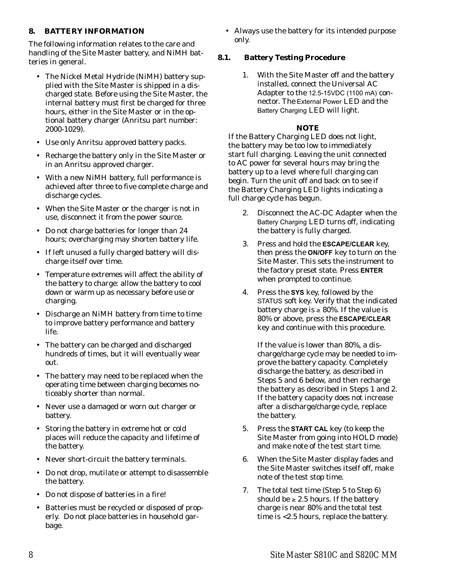### <span id="page-11-0"></span>**8. BATTERY INFORMATION**

The following information relates to the care and handling of the Site Master battery, and NiMH batteries in general.

- The Nickel Metal Hydride (NiMH) battery supplied with the Site Master is shipped in a discharged state. Before using the Site Master, the internal battery must first be charged for three hours, either in the Site Master or in the optional battery charger (Anritsu part number: 2000-1029).
- Use only Anritsu approved battery packs.
- Recharge the battery only in the Site Master or in an Anritsu approved charger.
- With a new NiMH battery, full performance is achieved after three to five complete charge and discharge cycles.
- When the Site Master or the charger is not in use, disconnect it from the power source.
- Do not charge batteries for longer than 24 hours; overcharging may shorten battery life.
- If left unused a fully charged battery will discharge itself over time.
- Temperature extremes will affect the ability of the battery to charge: allow the battery to cool down or warm up as necessary before use or charging.
- Discharge an NiMH battery from time to time to improve battery performance and battery life.
- The battery can be charged and discharged hundreds of times, but it will eventually wear out.
- The battery may need to be replaced when the operating time between charging becomes noticeably shorter than normal.
- Never use a damaged or worn out charger or battery.
- Storing the battery in extreme hot or cold places will reduce the capacity and lifetime of the battery.
- Never short-circuit the battery terminals.
- Do not drop, mutilate or attempt to disassemble the battery.
- Do not dispose of batteries in a fire!
- Batteries must be recycled or disposed of properly. Do not place batteries in household garbage.

 Always use the battery for its intended purpose only.

### **8.1. Battery Testing Procedure**

1. With the Site Master off and the battery installed, connect the Universal AC Adapter to the 12.5-15VDC (1100 mA) connector. The External Power LED and the Battery Charging LED will light.

### *NOTE*

If the Battery Charging LED does not light, the battery may be too low to immediately start full charging. Leaving the unit connected to AC power for several hours may bring the battery up to a level where full charging can begin. Turn the unit off and back on to see if the Battery Charging LED lights indicating a full charge cycle has begun.

- 2. Disconnect the AC-DC Adapter when the Battery Charging LED turns off, indicating the battery is fully charged.
- 3. Press and hold the **ESCAPE/CLEAR** key, then press the **ON/OFF** key to turn on the Site Master. This sets the instrument to the factory preset state. Press **ENTER** when prompted to continue.
- 4. Press the **SYS** key, followed by the STATUS soft key. Verify that the indicated battery charge is  $\geq 80\%$ . If the value is 80% or above, press the **ESCAPE/CLEAR** key and continue with this procedure.

If the value is lower than 80%, a discharge/charge cycle may be needed to improve the battery capacity. Completely discharge the battery, as described in Steps 5 and 6 below, and then recharge the battery as described in Steps 1 and 2. If the battery capacity does not increase after a discharge/charge cycle, replace the battery.

- 5. Press the **START CAL** key (to keep the Site Master from going into HOLD mode) and make note of the test start time.
- 6. When the Site Master display fades and the Site Master switches itself off, make note of the test stop time.
- 7. The total test time (Step 5 to Step 6) should be  $\geq 2.5$  hours. If the battery charge is near 80% and the total test time is <2.5 hours, replace the battery.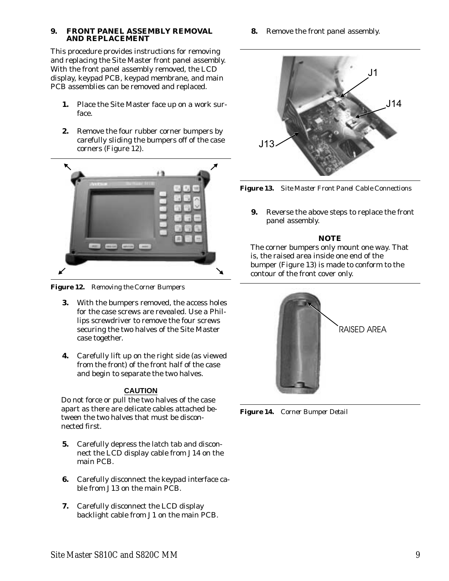#### <span id="page-12-0"></span>**9. FRONT PANEL ASSEMBLY REMOVAL AND REPLACEMENT**

This procedure provides instructions for removing and replacing the Site Master front panel assembly. With the front panel assembly removed, the LCD display, keypad PCB, keypad membrane, and main PCB assemblies can be removed and replaced.

- **1.** Place the Site Master face up on a work surface.
- **2.** Remove the four rubber corner bumpers by carefully sliding the bumpers off of the case corners (Figure [12\)](#page-12-0).



*Figure 12. Removing the Corner Bumpers*

- **3.** With the bumpers removed, the access holes for the case screws are revealed. Use a Phillips screwdriver to remove the four screws securing the two halves of the Site Master case together.
- **4.** Carefully lift up on the right side (as viewed from the front) of the front half of the case and begin to separate the two halves.

### **CAUTION**

Do not force or pull the two halves of the case apart as there are delicate cables attached between the two halves that must be disconnected first.

- **5.** Carefully depress the latch tab and disconnect the LCD display cable from J14 on the main PCB.
- **6.** Carefully disconnect the keypad interface cable from J13 on the main PCB.
- **7.** Carefully disconnect the LCD display backlight cable from J1 on the main PCB.

**8.** Remove the front panel assembly.





**9.** Reverse the above steps to replace the front panel assembly.

### *NOTE*

The corner bumpers only mount one way. That is, the raised area inside one end of the bumper (Figure [13](#page-12-0)) is made to conform to the contour of the front cover only.



*Figure 14. Corner Bumper Detail*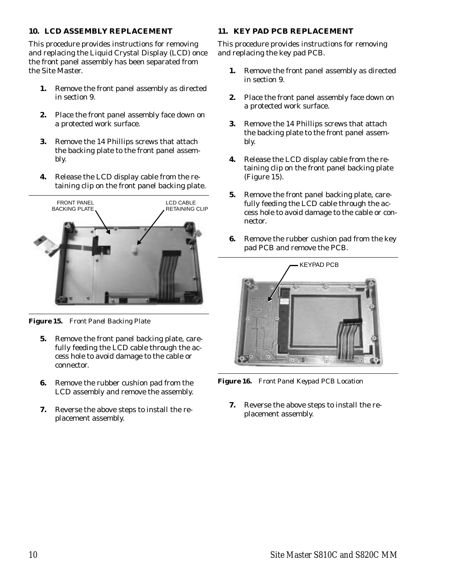### <span id="page-13-0"></span>**10. LCD ASSEMBLY REPLACEMENT**

This procedure provides instructions for removing and replacing the Liquid Crystal Display (LCD) once the front panel assembly has been separated from the Site Master.

- **1.** Remove the front panel assembly as directed in section [9.](#page-12-0)
- **2.** Place the front panel assembly face down on a protected work surface.
- **3.** Remove the 14 Phillips screws that attach the backing plate to the front panel assembly.
- **4.** Release the LCD display cable from the retaining clip on the front panel backing plate.



*Figure 15. Front Panel Backing Plate*

- **5.** Remove the front panel backing plate, carefully feeding the LCD cable through the access hole to avoid damage to the cable or connector.
- **6.** Remove the rubber cushion pad from the LCD assembly and remove the assembly.
- **7.** Reverse the above steps to install the replacement assembly.

### **11. KEY PAD PCB REPLACEMENT**

This procedure provides instructions for removing and replacing the key pad PCB.

- **1.** Remove the front panel assembly as directed in section [9.](#page-12-0)
- **2.** Place the front panel assembly face down on a protected work surface.
- **3.** Remove the 14 Phillips screws that attach the backing plate to the front panel assembly.
- **4.** Release the LCD display cable from the retaining clip on the front panel backing plate (Figure [15\)](#page-13-0).
- **5.** Remove the front panel backing plate, carefully feeding the LCD cable through the access hole to avoid damage to the cable or connector.
- **6.** Remove the rubber cushion pad from the key pad PCB and remove the PCB.



*Figure 16. Front Panel Keypad PCB Location*

**7.** Reverse the above steps to install the replacement assembly.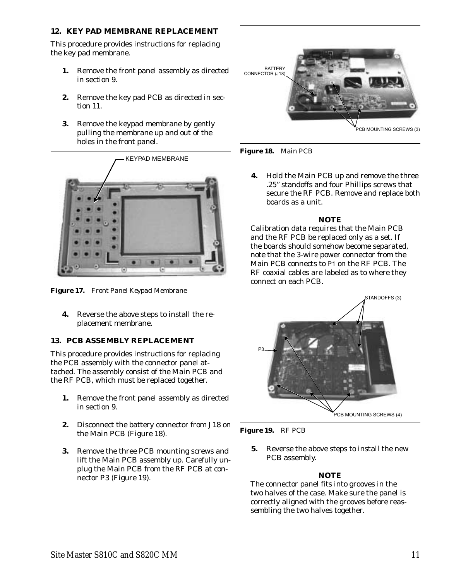### <span id="page-14-0"></span>**12. KEY PAD MEMBRANE REPLACEMENT**

This procedure provides instructions for replacing the key pad membrane.

- **1.** Remove the front panel assembly as directed in section [9.](#page-12-0)
- **2.** Remove the key pad PCB as directed in section [11.](#page-13-0)
- **3.** Remove the keypad membrane by gently pulling the membrane up and out of the holes in the front panel.



*Figure 17. Front Panel Keypad Membrane*

**4.** Reverse the above steps to install the replacement membrane.

## **13. PCB ASSEMBLY REPLACEMENT**

This procedure provides instructions for replacing the PCB assembly with the connector panel attached. The assembly consist of the Main PCB and the RF PCB, which must be replaced together.

- **1.** Remove the front panel assembly as directed in section [9.](#page-12-0)
- **2.** Disconnect the battery connector from J18 on the Main PCB (Figure [18\)](#page-14-0).
- **3.** Remove the three PCB mounting screws and lift the Main PCB assembly up. Carefully unplug the Main PCB from the RF PCB at connector P3 (Figure [19\)](#page-14-0).



*Figure 18. Main PCB*

**4.** Hold the Main PCB up and remove the three .25" standoffs and four Phillips screws that secure the RF PCB. Remove and replace both boards as a unit.

### *NOTE*

Calibration data requires that the Main PCB and the RF PCB be replaced only as a set. If the boards should somehow become separated, note that the 3-wire power connector from the Main PCB connects to P1 on the RF PCB. The RF coaxial cables are labeled as to where they connect on each PCB.





**5.** Reverse the above steps to install the new PCB assembly.

## *NOTE*

The connector panel fits into grooves in the two halves of the case. Make sure the panel is correctly aligned with the grooves before reassembling the two halves together.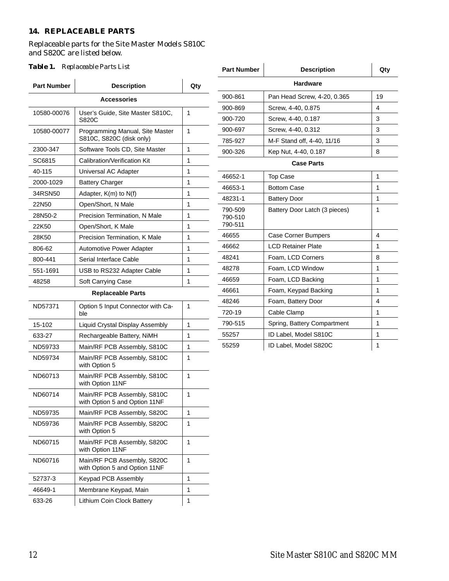#### **14. REPLACEABLE PARTS**

### Replaceable parts for the Site Master Models S810C and S820C are listed below.

| <b>Part Number</b>       | <b>Description</b>                                           | Qty |  |  |  |  |
|--------------------------|--------------------------------------------------------------|-----|--|--|--|--|
| <b>Accessories</b>       |                                                              |     |  |  |  |  |
| 10580-00076              | User's Guide, Site Master S810C,<br>S820C                    | 1   |  |  |  |  |
| 10580-00077              | Programming Manual, Site Master<br>S810C, S820C (disk only)  | 1   |  |  |  |  |
| 2300-347                 | Software Tools CD, Site Master                               | 1   |  |  |  |  |
| SC6815                   | Calibration/Verification Kit                                 | 1   |  |  |  |  |
| 40-115                   | Universal AC Adapter                                         | 1   |  |  |  |  |
| 2000-1029                | <b>Battery Charger</b>                                       | 1   |  |  |  |  |
| 34RSN50                  | Adapter, K(m) to N(f)                                        | 1   |  |  |  |  |
| 22N50                    | Open/Short, N Male                                           | 1   |  |  |  |  |
| 28N50-2                  | Precision Termination, N Male                                | 1   |  |  |  |  |
| 22K50                    | Open/Short, K Male                                           | 1   |  |  |  |  |
| 28K50                    | Precision Termination, K Male                                | 1   |  |  |  |  |
| 806-62                   | <b>Automotive Power Adapter</b>                              | 1   |  |  |  |  |
| 800-441                  | Serial Interface Cable                                       | 1   |  |  |  |  |
| 551-1691                 | USB to RS232 Adapter Cable                                   | 1   |  |  |  |  |
| 48258                    | Soft Carrying Case                                           | 1   |  |  |  |  |
| <b>Replaceable Parts</b> |                                                              |     |  |  |  |  |
| ND57371                  | Option 5 Input Connector with Ca-<br>ble                     | 1   |  |  |  |  |
| 15-102                   | Liquid Crystal Display Assembly                              | 1   |  |  |  |  |
| 633-27                   | Rechargeable Battery, NiMH                                   | 1   |  |  |  |  |
| ND59733                  | Main/RF PCB Assembly, S810C                                  | 1   |  |  |  |  |
| ND59734                  | Main/RF PCB Assembly, S810C<br>with Option 5                 | 1   |  |  |  |  |
| ND60713                  | Main/RF PCB Assembly, S810C<br>with Option 11NF              | 1   |  |  |  |  |
| ND60714                  | Main/RF PCB Assembly, S810C<br>with Option 5 and Option 11NF | 1   |  |  |  |  |
| ND59735                  | Main/RF PCB Assembly, S820C                                  | 1   |  |  |  |  |
| ND59736                  | Main/RF PCB Assembly, S820C<br>with Option 5                 | 1   |  |  |  |  |
| ND60715                  | Main/RF PCB Assembly, S820C<br>with Option 11NF              | 1   |  |  |  |  |
| ND60716                  | Main/RF PCB Assembly, S820C<br>with Option 5 and Option 11NF | 1   |  |  |  |  |
| 52737-3                  | Keypad PCB Assembly                                          | 1   |  |  |  |  |
| 46649-1                  | Membrane Keypad, Main                                        | 1   |  |  |  |  |
| 633-26                   | Lithium Coin Clock Battery                                   | 1   |  |  |  |  |

| Table 1. Replaceable Parts List |                                                             | <b>Part Number</b> | <b>Description</b>   | Qty                           |                |
|---------------------------------|-------------------------------------------------------------|--------------------|----------------------|-------------------------------|----------------|
| <b>Part Number</b>              | <b>Description</b>                                          | Qty                | <b>Hardware</b>      |                               |                |
| <b>Accessories</b>              |                                                             |                    | 900-861              | Pan Head Screw, 4-20, 0.365   | 19             |
|                                 |                                                             |                    | 900-869              | Screw, 4-40, 0.875            | $\overline{4}$ |
| 10580-00076                     | User's Guide, Site Master S810C,<br>S820C                   | $\mathbf{1}$       | 900-720              | Screw, 4-40, 0.187            | 3              |
| 10580-00077                     | Programming Manual, Site Master<br>S810C, S820C (disk only) | $\mathbf{1}$       | 900-697              | Screw, 4-40, 0.312            | 3              |
|                                 |                                                             |                    | 785-927              | M-F Stand off, 4-40, 11/16    | 3              |
| 2300-347                        | Software Tools CD, Site Master                              | $\mathbf{1}$       | 900-326              | Kep Nut, 4-40, 0.187          | 8              |
| SC6815                          | Calibration/Verification Kit                                | 1                  | <b>Case Parts</b>    |                               |                |
| 40-115                          | Universal AC Adapter                                        | 1                  | 46652-1              | <b>Top Case</b>               | 1              |
| 2000-1029                       | <b>Battery Charger</b>                                      | 1                  | 46653-1              | <b>Bottom Case</b>            | 1              |
| 34RSN50                         | Adapter, $K(m)$ to $N(f)$                                   | 1                  |                      |                               |                |
| 22N50                           | Open/Short, N Male                                          | $\mathbf{1}$       | 48231-1              | <b>Battery Door</b>           | 1              |
| 28N50-2                         | Precision Termination, N Male                               | 1                  | 790-509<br>790-510   | Battery Door Latch (3 pieces) | 1              |
| 22K50                           | Open/Short, K Male                                          | 1                  | 790-511              |                               |                |
| 28K50                           | Precision Termination, K Male                               | 1                  | 46655                | <b>Case Corner Bumpers</b>    | $\overline{4}$ |
| 806-62                          | Automotive Power Adapter                                    | 1                  | 46662                | <b>LCD Retainer Plate</b>     | 1              |
| 800-441                         | Serial Interface Cable                                      | 1                  | 48241                | Foam, LCD Corners             | 8              |
| 551-1691                        | USB to RS232 Adapter Cable                                  | $\mathbf{1}$       | 48278                | Foam, LCD Window              | 1              |
| 48258                           | Soft Carrying Case                                          | $\mathbf{1}$       | 46659                | Foam, LCD Backing             | 1              |
| <b>Replaceable Parts</b>        |                                                             | 46661              | Foam, Keypad Backing | 1                             |                |
| ND57371                         | Option 5 Input Connector with Ca-<br>ble                    | $\mathbf{1}$       | 48246                | Foam, Battery Door            | $\overline{4}$ |
|                                 |                                                             |                    | 720-19               | Cable Clamp                   | 1              |
| 15-102                          | Liquid Crystal Display Assembly                             | $\mathbf{1}$       | 790-515              | Spring, Battery Compartment   | 1              |
| 633-27                          | Rechargeable Battery, NiMH                                  | $\mathbf{1}$       | 55257                | ID Label, Model S810C         | 1              |
| ND59733                         | Main/RF PCB Assembly, S810C                                 | $\mathbf 1$        | 55259                | ID Label, Model S820C         | 1              |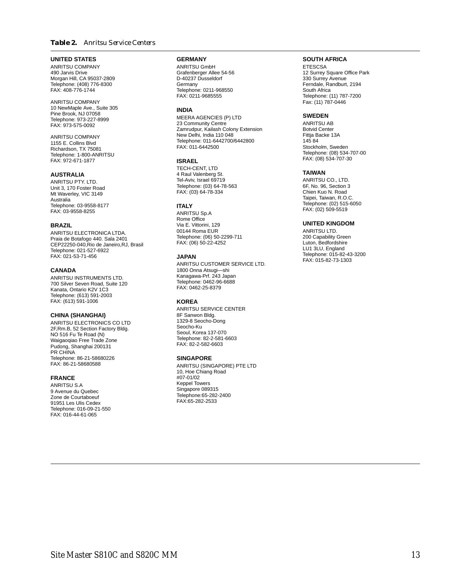#### *Table 2. Anritsu Service Centers*

#### **UNITED STATES**

ANRITSU COMPANY 490 Jarvis Drive Morgan Hill, CA 95037-2809 Telephone: (408) 776-8300 FAX: 408-776-1744

ANRITSU COMPANY 10 NewMaple Ave., Suite 305 Pine Brook, NJ 07058 Telephone: 973-227-8999 FAX: 973-575-0092

ANRITSU COMPANY 1155 E. Collins Blvd Richardson, TX 75081 Telephone: 1-800-ANRITSU FAX: 972-671-1877

#### **AUSTRALIA**

ANRITSU PTY. LTD. Unit 3, 170 Foster Road Mt Waverley, VIC 3149 Australia Telephone: 03-9558-8177 FAX: 03-9558-8255

#### **BRAZIL**

ANRITSU ELECTRONICA LTDA. Praia de Botafogo 440. Sala 2401 CEP22250-040,Rio de Janeiro,RJ, Brasil Telephone: 021-527-6922 FAX: 021-53-71-456

#### **CANADA**

ANRITSU INSTRUMENTS LTD. 700 Silver Seven Road, Suite 120 Kanata, Ontario K2V 1C3 Telephone: (613) 591-2003 FAX: (613) 591-1006

#### **CHINA (SHANGHAI)**

ANRITSU ELECTRONICS CO LTD 2F,Rm.B, 52 Section Factory Bldg. NO 516 Fu Te Road (N) Waigaoqiao Free Trade Zone Pudong, Shanghai 200131 PR CHINA Telephone: 86-21-58680226 FAX: 86-21-58680588

#### **FRANCE**

ANRITSU S.A 9 Avenue du Quebec Zone de Courtaboeuf 91951 Les Ulis Cedex Telephone: 016-09-21-550 FAX: 016-44-61-065

#### **GERMANY**

ANRITSU GmbH Grafenberger Allee 54-56 D-40237 Dusseldorf Germany Telephone: 0211-968550 FAX: 0211-9685555

#### **INDIA**

MEERA AGENCIES (P) LTD 23 Community Centre Zamrudpur, Kailash Colony Extension New Delhi, India 110 048 Telephone: 011-6442700/6442800 FAX: 011-6442500

#### **ISRAEL**

TECH-CENT, LTD 4 Raul Valenberg St. Tel-Aviv, Israel 69719 Telephone: (03) 64-78-563 FAX: (03) 64-78-334

#### **ITALY**

ANRITSU Sp.A Rome Office Via E. Vittorini, 129 00144 Roma EUR Telephone: (06) 50-2299-711 FAX: (06) 50-22-4252

#### **JAPAN**

ANRITSU CUSTOMER SERVICE LTD. 1800 Onna Atsugi—shi Kanagawa-Prf. 243 Japan Telephone: 0462-96-6688 FAX: 0462-25-8379

#### **KOREA**

ANRITSU SERVICE CENTER 8F Sanwon Bldg. 1329-8 Seocho-Dong Seocho-Ku Seoul, Korea 137-070 Telephone: 82-2-581-6603 FAX: 82-2-582-6603

#### **SINGAPORE**

ANRITSU (SINGAPORE) PTE LTD 10, Hoe Chiang Road #07-01/02 Keppel Towers Singapore 089315 Telephone:65-282-2400 FAX:65-282-2533

#### **SOUTH AFRICA**

**ETESCSA** 12 Surrey Square Office Park 330 Surrey Avenue Ferndale, Randburt, 2194 South Africa Telephone: (11) 787-7200 Fax: (11) 787-0446

#### **SWEDEN**

ANRITSU AB Botvid Center Fittja Backe 13A 145 84 Stockholm, Sweden Telephone: (08) 534-707-00 FAX: (08) 534-707-30

#### **TAIWAN**

ANRITSU CO., LTD. 6F, No. 96, Section 3 Chien Kuo N. Road Taipei, Taiwan, R.O.C. Telephone: (02) 515-6050 FAX: (02) 509-5519

#### **UNITED KINGDOM**

ANRITSU LTD. 200 Capability Green Luton, Bedfordshire LU1 3LU, England Telephone: 015-82-43-3200 FAX: 015-82-73-1303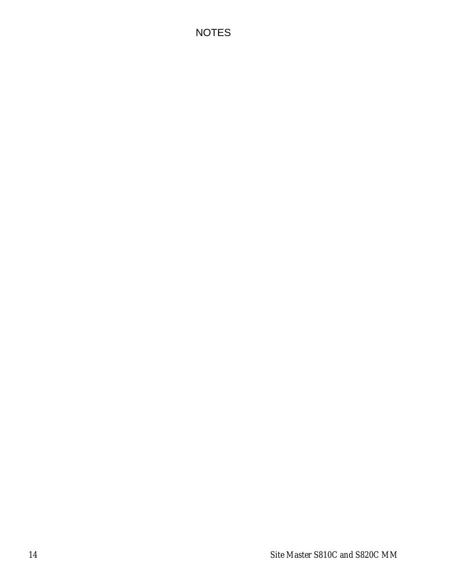# NOTES